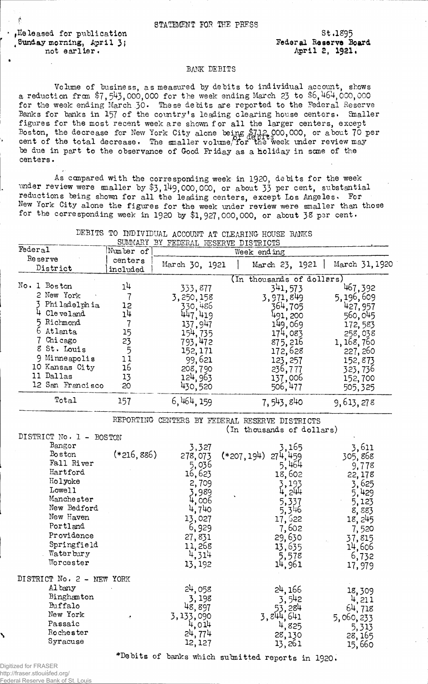$\cdot$  ,  $\texttt{Ke}\$  leased for publication , Sunday morning, April 3; not earlier.

Federal Be serve Board April 2, 1921. st .1295

## BANK DEBITS

Volume of business, as measured by debits to individual account, shows a reduction from  $$7, 543,000,000$  for the week ending March 23 to  $$6,464,000,000$ for the week ending March 30. These debits are reported to the Federal Reserve Banks for banks in 157 of the country's leading clearing house centers. Smaller figures for the most recent week are shown for all the larger centers, except Boston, the decrease for New York City alone being \$712,000,000, or about 70 per cent of the total decrease. The smaller volume/for the week under review may be due in part to the observance of Good Friday as a Holiday in sane of the centers.

As compared with the corresponding week in 1920, debits for the week under review were analler by \$3,149,000,000, or about 33 per cent, substantial reductions being shown for all the leading centers, except Los Angeles. For New York City alone the figures for the week under review were smaller than those for the corresponding week in 1920 by \$1,927,000,000, or about 38 per cent.

|  |  | DEBITS TO INDIVIDUAL ACCOUNT AT CLEARING HOUSE BANKS |  |  |  |  |  |
|--|--|------------------------------------------------------|--|--|--|--|--|
|--|--|------------------------------------------------------|--|--|--|--|--|

|                           |                | SUMMARY BY FEDERAL RESERVE DISTRICTS |                                                |                 |
|---------------------------|----------------|--------------------------------------|------------------------------------------------|-----------------|
| Federal                   | Number of      |                                      | Week ending                                    |                 |
| Reserve                   | centers        | March 30, 1921                       | March 23, 1921                                 | March 31, 1920  |
| District                  | included       |                                      |                                                |                 |
|                           |                |                                      | (In thousands of dollars)                      |                 |
| No. 1 Boston              | 1 <sup>1</sup> | 333,877                              | 341, 573                                       | 467,392         |
| 2 New York                | $\overline{1}$ | 3,250,158                            | 3,971,849                                      | 5,196,609       |
| 3 Philadelphia            | 12             | 330,486                              | 364 <b>,</b> 705                               | 427,957         |
| 4 Cleveland               | 14             | 447,419                              | 491, 200                                       | 560,045         |
| 5 Richmond                | 7              | 137,947                              | 149,069                                        | 172,583         |
| 6 Atlanta                 | 15             | 154, 735                             | 174,083                                        | 258,038         |
| 7 Chicago                 | 23             | 793,472                              | 875,216                                        | 1, 168, 760     |
| 8 St. Louis               | 5              | 152,171                              | 172,628                                        | 227, 260        |
| 9 Minneapolis             | 11             | 99,621                               | 123, 257                                       | 152,873         |
| 10 Kansas City            | <b>16</b>      | 208,790                              | 236,777                                        | 323,736         |
| 11 Dallas                 | 13             | 124,963                              | 137,006<br>506,477                             | 152,700         |
| 12 San Francisco          | 20             | 430,520                              |                                                | 505,325         |
| Total                     | 157            | 6, 464, 159                          | 7,543,840                                      | 9,613,278       |
|                           |                |                                      | REPORTING CENTERS BY FEDERAL RESERVE DISTRICTS |                 |
|                           |                |                                      | (In thousands of dollars)                      |                 |
| DISTRICT No. 1 - BOSTON   |                |                                      |                                                |                 |
| Bangor<br><b>Boston</b>   |                | 3,327                                | 3.165                                          | 3,611           |
| Fall River                | $(*216,886)$   | 278,073                              | $(*207, 194)$<br>274,459                       | 305,868         |
| Hartford                  |                | 5,036                                | 5,464                                          | 9,778           |
| Holyoke                   |                | 16,623                               | 18,602                                         | 22,178          |
| Lowell                    |                | 2,709                                | 3,193                                          | 3,625           |
| Manchester                |                | 3,989<br>4,006                       | 4, 244                                         | 5,429           |
| New Bedford               |                | 4,740                                | 5,337<br>5,346                                 | 5,123           |
| New Haven                 |                | 13,027                               | 17,622                                         | 8,883           |
| Portland                  |                | 6,929                                | 7,602                                          | 18,245          |
| Providence                |                | 27,831                               | 29,630                                         | 7,520           |
| Springfield               |                | 11,268                               | 13,635                                         | 37,815          |
| Waterbury                 |                | 4,314                                | 5,578                                          | 14,606          |
| Worcester                 |                | 13, 192                              | 14,961                                         | 6,732<br>17,979 |
| DISTRICT No. 2 - NEW YORK |                |                                      |                                                |                 |
| Al bany                   |                | 24,058                               | 24, 166                                        | 18,309          |
| Binghamton                |                | 3,198                                | 3,542                                          | 4,211           |
| Buffalo                   |                | 48,897                               |                                                | 64,718          |
| New York                  | م .            | 3,133,090                            | $53, 284$<br>3, $844, 641$<br>4, $825$         | 5,060,233       |
| Passaic                   |                | 4,014                                |                                                | 5,313           |
| Rochester                 |                | 24,774                               | 28,130                                         | 28, 165         |
| Syracuse                  |                | 12, 127                              | 13,261                                         | 15,660          |
|                           |                |                                      |                                                |                 |

\*Debits of banks which submitted reports in 1920.

Digitized for FRASER http://fraser.stlouisfed.org/ Federal Reserve Bank of St.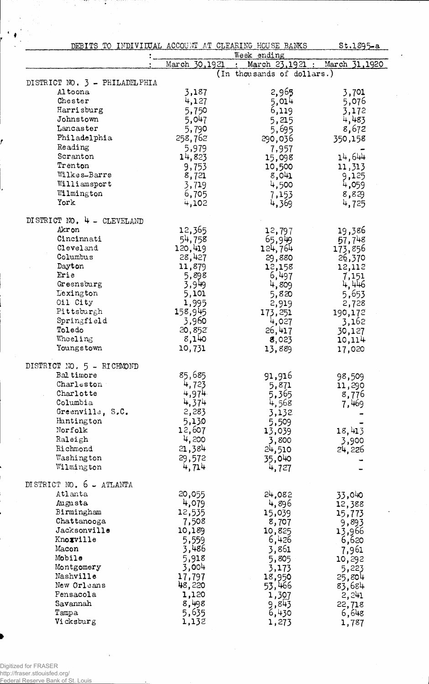|                               | DEBITS TO INDIVIDUAL ACCOUNT AT CLEARING HOUSE BANKS<br>$$t.1895-a$<br>Week ending |                            |                  |  |
|-------------------------------|------------------------------------------------------------------------------------|----------------------------|------------------|--|
|                               | March 30,1921                                                                      | March 23,1921 :            | March 31,1920    |  |
|                               |                                                                                    | (In thousands of dollars.) |                  |  |
| DISTRICT NO. 3 - PHILADELPHIA |                                                                                    |                            |                  |  |
| Altoona                       | 3,187                                                                              | 2,965                      | 3,701            |  |
| Chester                       | 4,127                                                                              | 5,014                      | 5,076            |  |
| Harrisburg                    | 5,750                                                                              | 6,119                      | 3,172            |  |
| Johnstown                     | 5,047                                                                              | 5,215                      | 4,483            |  |
| Lancaster                     | 5,790                                                                              | 5,695                      | 8,672            |  |
| Philadelphia                  | 258,762                                                                            | 290,036                    | 350,158          |  |
| Reading                       | 5,979                                                                              | 7,957                      |                  |  |
| Scranton                      | 14,823                                                                             | 15,098                     | 14,644           |  |
| Trenton                       | 9,753                                                                              | 10,500                     | 11,313           |  |
| Wilkes-Barre                  | 8,721                                                                              | 8,041                      | 9,125            |  |
| Williamsport                  | 3,719                                                                              | 4,500                      | 4,059            |  |
| Wilmington                    | 6,705                                                                              | 7,153                      | 8,829            |  |
| York                          | 4,102                                                                              | 4,369                      | 4,725            |  |
|                               |                                                                                    |                            |                  |  |
| DI STRICT NO. $4 - CLEVELAND$ |                                                                                    |                            |                  |  |
| Akron                         | 12,365                                                                             | 12,797                     | 19,386           |  |
| Cincinnati                    | 54,758                                                                             | 65,949                     | 57,748           |  |
| Cleveland                     | 120,419                                                                            | 124,764                    | 173,856          |  |
| Columbus                      | 28,427                                                                             | 29,880                     | 26,370           |  |
| Dayton                        | 11,879                                                                             | 12,158                     | 12,112           |  |
| Erie                          | 5,898                                                                              | 6,497                      | 7,151            |  |
| Greensburg                    | 3,949                                                                              | 4,809                      | 4,446            |  |
| Lexington                     | 5,101                                                                              | 5,820                      | 5,653            |  |
| Oil City                      | 1,995                                                                              | 2,919                      | 2,728            |  |
| Pittsburgh                    | 158,945                                                                            | 173,251                    | 190,172          |  |
| Springfield                   | 3,960                                                                              | 4,027                      | 3,162            |  |
| Toledo                        | 20,852                                                                             | 26,417                     | 30,127           |  |
| Wheeling                      | 8,140                                                                              | 8,023                      | 10,114           |  |
| Youngstown                    | 10,731                                                                             | 13,889                     | 17,020           |  |
|                               |                                                                                    |                            |                  |  |
| DISTRICT NO. 5 - RICHMOND     |                                                                                    |                            |                  |  |
| Baltimore                     | 85,685                                                                             | 91,916                     | 98,509           |  |
| Charleston                    | 4,723                                                                              | 5,871                      | 11,290           |  |
| Charlotte                     | 4,974                                                                              | 5,365                      | 8,776            |  |
| Columbia                      | 4,374                                                                              | 4,568                      | 7,469            |  |
| Greenville, S.C.              | 2,283                                                                              | 3,132                      |                  |  |
| Huntington                    | 5,130                                                                              | 5,509                      |                  |  |
| Norfolk                       | 12,607                                                                             | 13,039                     | 18,413           |  |
| Raleigh                       | 4,200                                                                              | 3,800                      | 3,900            |  |
| Richmond                      | 21,384                                                                             | 24,510                     | 24,226           |  |
| Washington                    | 29,572                                                                             | 35,040                     |                  |  |
| Wilmington                    | 4,714                                                                              | 4,727                      |                  |  |
| DISTRICT NO. 6 - ATLANTA      |                                                                                    |                            |                  |  |
| Atlanta                       | 20,055                                                                             | 24,082                     |                  |  |
| Augusta                       | 4,079                                                                              | 4,896                      | 33,040<br>12,388 |  |
| Birmingham                    | 12,535                                                                             | 15,039                     | 15,773           |  |
| Chattanooga                   | 7,508                                                                              | 8,707                      | 9,893            |  |
| Jacksonville                  | 10,189                                                                             | 10,825                     | 13,966           |  |
| Knoxville                     | 5,559                                                                              | 6,426                      | 6,620            |  |
| Macon                         | 3,486                                                                              | 3,861                      | 7,961            |  |
| Mobile                        | 5,918                                                                              | 5,805                      | 10,292           |  |
| Montgomery                    | 3,004                                                                              | 3,173                      | 5,223            |  |
| Nashville                     | 17,797                                                                             | 18,950                     | 25,804           |  |
| New Orleans                   | 48,220                                                                             | 53,466                     | 83,684           |  |
| Pensacola                     | 1,120                                                                              | 1,307                      | 2,241            |  |
| Savannah                      | 8,498                                                                              | 9,843                      | 22,718           |  |
| Tampa                         | 5,635                                                                              | 6,430                      | 6,648            |  |
| Vicksburg                     | 1,132                                                                              | 1,273                      | 1,787            |  |

 $\ddot{\phantom{a}}$ 

ment.

 $\hat{\mathcal{A}}$ 

D.

 $\bullet$ 

÷,

 $\bar{z}$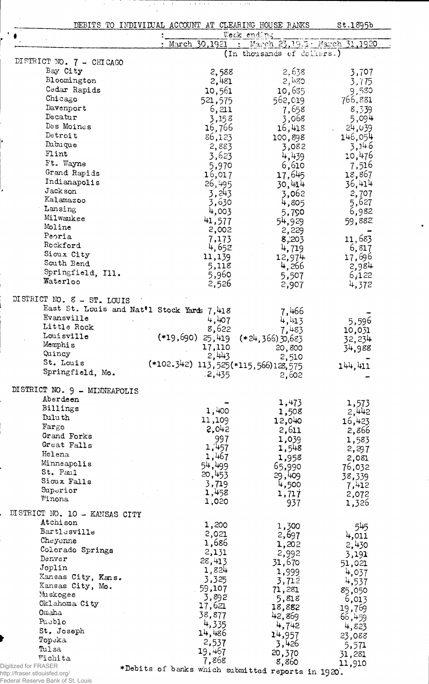DEBITS TO INDIVIDUAL ACCOUNT AT CLEARING HOUSE BANKS

л.

 $\hat{\boldsymbol{\beta}}$ 

 $\frac{1}{\sqrt{2}}\sum_{i=1}^{n} \frac{1}{i} \sum_{j=1}^{n} \frac{1}{j} \sum_{j=1}^{n} \frac{1}{j} \sum_{j=1}^{n} \frac{1}{j} \sum_{j=1}^{n} \frac{1}{j} \sum_{j=1}^{n} \frac{1}{j} \sum_{j=1}^{n} \frac{1}{j} \sum_{j=1}^{n} \frac{1}{j} \sum_{j=1}^{n} \frac{1}{j} \sum_{j=1}^{n} \frac{1}{j} \sum_{j=1}^{n} \frac{1}{j} \sum_{j=1}^{n} \frac{1}{j} \sum_{j=1$ 

Ŧ

St.1895b

|                                           |                                            | Week ending                |                             |
|-------------------------------------------|--------------------------------------------|----------------------------|-----------------------------|
|                                           | March 30,1921                              |                            | March 23,1921 March 31,1920 |
|                                           |                                            | (In thousands of dollars.) |                             |
| DISTRICT NO. 7 - CHICAGO                  |                                            |                            |                             |
| Bay City                                  | 2,588                                      | 2,638                      | 3,707                       |
| Bloomington                               | 2,481                                      | 2,480                      | 3,775                       |
| Cedar Rapids                              | 10,561                                     | 10,635                     | 9,580                       |
| Chicago                                   | 521,575                                    | 562,019                    | 766,881                     |
| Davenport                                 | 6,211                                      | 7,658                      | 8,339                       |
| Decatur                                   | 3,158                                      | 3,068                      | 5,094                       |
| Des Moines                                | 16,766                                     | 16,418                     | 24,039                      |
| Detroit                                   | 86,123                                     | 100,898                    | 146,054                     |
| Dubuque                                   | 2,883                                      | 3,082                      | 3,146                       |
| Flint                                     | 3,623                                      | 4,439                      | 10,476                      |
| Ft. Wayne                                 | 5,970                                      | 6,610                      | 7,516                       |
| Grand Rapids                              | 16,017                                     | 17,645                     | 18,867                      |
| Indianapolis                              | 26,495                                     | 30,414                     | 36,414                      |
| Jackson                                   | 3,243                                      | 3,062                      | 2,707                       |
| Kalamazoo                                 | 3,630                                      | 4,805                      | 5,627                       |
| Lansing                                   | 4,003                                      | 5,790                      | 6,982                       |
| Milwaukee                                 | 41,577                                     | 54,929                     | 59,882                      |
| Moline                                    | 2,002                                      | 2,229                      |                             |
| Peoria                                    | 7,173                                      | 8,203                      | 11,683                      |
| Rockford                                  | 4,652                                      | 4,719                      | 6,817                       |
| Sioux City                                | 11,139                                     | 12,974                     | 17,696                      |
| South Bend                                | 5,118                                      | 4,266                      | 2,984                       |
| Springfield, Ill.                         | 5,960                                      | 5,507                      | 6,122                       |
| Waterloo                                  | 2,526                                      | 2,907                      | 4,372                       |
|                                           |                                            |                            |                             |
| DISTRICT NO. 8 - ST. LOUIS                |                                            |                            |                             |
| Evansville                                | East St. Louis and Nat'l Stock Yards 7,418 | 7,466                      |                             |
| Little Rock                               | 4,407                                      | 4,413                      | 5,596                       |
| Louisville                                | 8,622                                      | 7,483                      | 10,031                      |
| Memphis                                   | $(*19,690)$<br>25,419                      | $(*24,366)30,683$          | 32,234                      |
| Quincy                                    | 17,110                                     | 20,800                     | 34,988                      |
| St. Louis                                 | 2,443                                      | 2,510                      |                             |
| Springfield, Mo.                          | (*102.342) 113,525(*115,566)128,575        |                            | 144.411                     |
|                                           | .2,435                                     | 2,602                      |                             |
| DISTRICT NO. 9 - MINNEAPOLIS              |                                            |                            |                             |
| Aberdeen                                  |                                            |                            |                             |
| Billings                                  | 1,400                                      | 1,473                      | 1,573                       |
| Duluth                                    | 11,109                                     | 1,508                      | 2,442                       |
| Fargo                                     | 2,042                                      | 12,040<br>2,611            | 16,423                      |
| Grand Forks                               | 997                                        |                            | 2,866                       |
| Great Falls                               | 1,457                                      | 1,039                      | 1,583                       |
| Helena                                    | 1,467                                      | 1,548                      | 2,297                       |
| Minneapolis                               | 54,499                                     | 1,958                      | 2,081                       |
| St. Paul                                  | 20,453                                     | 65,990                     | 76,032                      |
| Sioux Falls                               | 3,719                                      | 29,409                     | 38,339                      |
| Superior                                  | 1,458                                      | 4,500                      | 7,412                       |
| Winona                                    | 1,020                                      | 1,717<br>937               | 2,072<br>1,326              |
|                                           |                                            |                            |                             |
| DISTRICT NO. 10 - KANSAS CITY<br>Atchison |                                            |                            |                             |
|                                           | 1,200                                      | 1,300                      | 545                         |
| Bartlesville                              | 2,021                                      | 2,697                      | 4,011                       |
| Cheyenne                                  | 1,686                                      | 1,202                      | 2,430                       |
| Colorado Springs                          | 2,131                                      | 2,992                      | 3,191                       |
| Denver                                    | 28,413                                     | 31,670                     | 51,021                      |
| Joplin                                    | 1,824                                      | 1,999                      | 4,037                       |
| Kansas City, Kans.                        | 3,325                                      | 3,712                      | 4,537                       |
| Kansas City, Mo.                          | 59,107                                     | 71,281                     | 85,050                      |
| Muskogee                                  | 3,892                                      | 5,818                      | 6,013                       |
| Oklahoma City                             | 17,621                                     | 18,882                     | 19,769                      |
| Omaha                                     | 38,877                                     | 42,869                     | 66,459                      |
| Pueblo                                    | 4,335                                      | 4,742                      | 4,823                       |
| St. Joseph                                | 14,486                                     | 14,957                     | 23,088                      |
|                                           |                                            |                            |                             |
| Topeka                                    | 2,537                                      | 3,426                      |                             |
| Tulsa<br>Wichita                          | 19,467<br>7,868                            | 20,370                     | 5,571<br>31,281             |